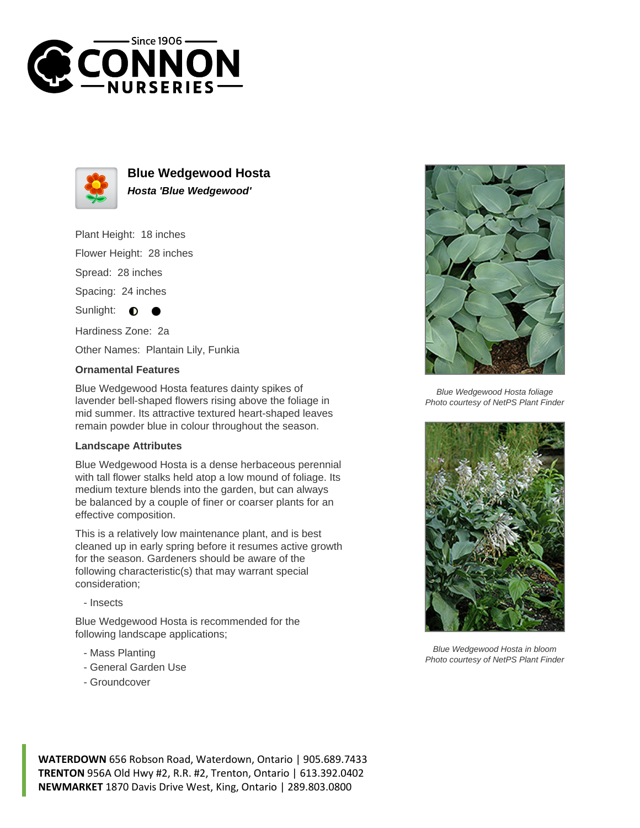



**Blue Wedgewood Hosta Hosta 'Blue Wedgewood'**

Plant Height: 18 inches

Flower Height: 28 inches

Spread: 28 inches

Spacing: 24 inches

Sunlight:  $\bullet$ 

Hardiness Zone: 2a

Other Names: Plantain Lily, Funkia

## **Ornamental Features**

Blue Wedgewood Hosta features dainty spikes of lavender bell-shaped flowers rising above the foliage in mid summer. Its attractive textured heart-shaped leaves remain powder blue in colour throughout the season.

## **Landscape Attributes**

Blue Wedgewood Hosta is a dense herbaceous perennial with tall flower stalks held atop a low mound of foliage. Its medium texture blends into the garden, but can always be balanced by a couple of finer or coarser plants for an effective composition.

This is a relatively low maintenance plant, and is best cleaned up in early spring before it resumes active growth for the season. Gardeners should be aware of the following characteristic(s) that may warrant special consideration;

- Insects

Blue Wedgewood Hosta is recommended for the following landscape applications;

- Mass Planting
- General Garden Use
- Groundcover



Blue Wedgewood Hosta foliage Photo courtesy of NetPS Plant Finder



Blue Wedgewood Hosta in bloom Photo courtesy of NetPS Plant Finder

**WATERDOWN** 656 Robson Road, Waterdown, Ontario | 905.689.7433 **TRENTON** 956A Old Hwy #2, R.R. #2, Trenton, Ontario | 613.392.0402 **NEWMARKET** 1870 Davis Drive West, King, Ontario | 289.803.0800